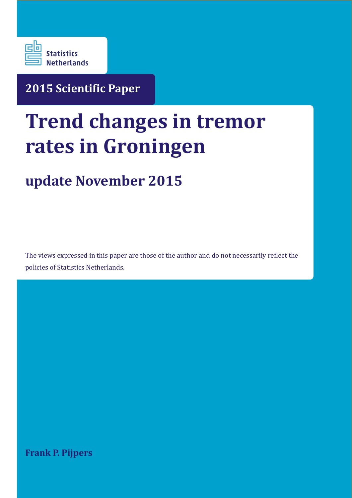

**2015 Scientiic Paper**

# **Trend changes in tremor rates in Groningen**

# **update November 2015**

The views expressed in this paper are those of the author and do not necessarily relect the policies of Statistics Netherlands.

**Frank P. Pijpers**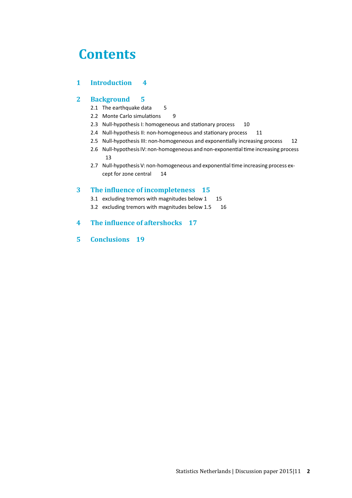### **Contents**

#### **1 Introduction 4**

#### **2 Background 5**

- 2.1 The earthquake data 5
- 2.2 Monte Carlo simulations 9
- 2.3 Null-hypothesis I: homogeneous and stationary process 10
- 2.4 Null-hypothesis II: non-homogeneous and stationary process 11
- 2.5 Null-hypothesis III: non-homogeneous and exponentially increasing process 12
- 2.6 Null-hypothesis IV: non-homogeneous and non-exponential time increasing process 13
- 2.7 Null-hypothesis V: non-homogeneous and exponential time increasing process except for zone central 14

#### **3 The inluence of incompleteness 15**

- 3.1 excluding tremors with magnitudes below 1 15
- 3.2 excluding tremors with magnitudes below 1.5 16
- **4 The inluence of aftershocks 17**
- **5 Conclusions 19**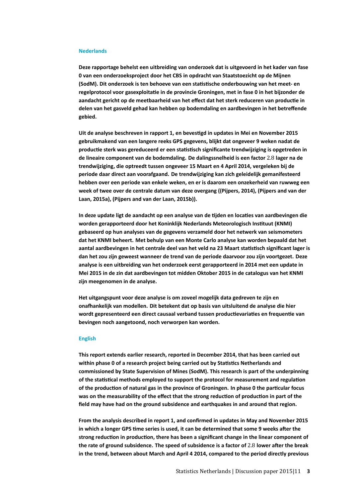#### **Nederlands**

**Deze rapportage behelst een uitbreiding van onderzoek dat is uitgevoerd in het kader van fase 0 van een onderzoeksproject door het CBS in opdracht van Staatstoezicht op de Mijnen (SodM). Dit onderzoek is ten behoeve van een statistische onderbouwing van het meet- en regelprotocol voor gasexploitatie in de provincie Groningen, met in fase 0 in het bijzonder de aandacht gericht op de meetbaarheid van het effect dat het sterk reduceren van productie in delen van het gasveld gehad kan hebben op bodemdaling en aardbevingen in het betreffende gebied.**

**Uit de analyse beschreven in rapport 1, en bevestigd in updates in Mei en November 2015 gebruikmakend van een langere reeks GPS gegevens, blijkt dat ongeveer 9 weken nadat de productie sterk was gereduceerd er een statistisch significante trendwijziging is opgetreden in de lineaire component van de bodemdaling. De dalingssnelheid is een factor** 2.8 **lager na de trendwijziging, die optreedt tussen ongeveer 15 Maart en 4 April 2014, vergeleken bij de periode daar direct aan voorafgaand. De trendwijziging kan zich geleidelijk gemanifesteerd hebben over een periode van enkele weken, en er is daarom een onzekerheid van ruwweg een week of twee over de centrale datum van deze overgang ((Pijpers, 2014), (Pijpers and van der Laan, 2015a), (Pijpers and van der Laan, 2015b)).**

**In deze update ligt de aandacht op een analyse van de tijden en locaties van aardbevingen die worden gerapporteerd door het Koninklijk Nederlands Meteorologisch Instituut (KNMI) gebaseerd op hun analyses van de gegevens verzameld door het netwerk van seismometers dat het KNMI beheert. Met behulp van een Monte Carlo analyse kan worden bepaald dat het aantal aardbevingen in het centrale deel van het veld na 23 Maart statistisch significant lager is dan het zou zijn geweest wanneer de trend van de periode daarvoor zou zijn voortgezet. Deze analyse is een uitbreiding van het onderzoek eerst gerapporteerd in 2014 met een update in Mei 2015 in de zin dat aardbevingen tot midden Oktober 2015 in de catalogus van het KNMI zijn meegenomen in de analyse.**

**Het uitgangspunt voor deze analyse is om zoveel mogelijk data gedreven te zijn en onafhankelijk van modellen. Dit betekent dat op basis van uitsluitend de analyse die hier wordt gepresenteerd een direct causaal verband tussen productievariaties en frequentie van bevingen noch aangetoond, noch verworpen kan worden.**

#### **English**

**This report extends earlier research, reported in December 2014, that has been carried out within phase 0 of a research project being carried out by Statistics Netherlands and commissioned by State Supervision of Mines (SodM). This research is part of the underpinning of the statistical methods employed to support the protocol for measurement and regulation of the production of natural gas in the province of Groningen. In phase 0 the particular focus was on the measurability of the effect that the strong reduction of production in part of the field may have had on the ground subsidence and earthquakes in and around that region.**

**From the analysis described in report 1, and confirmed in updates in May and November 2015 in which a longer GPS time series is used, it can be determined that some 9 weeks after the strong reduction in production, there has been a significant change in the linear component of the rate of ground subsidence. The speed of subsidence is a factor of** 2.8 **lower after the break in the trend, between about March and April 4 2014, compared to the period directly previous**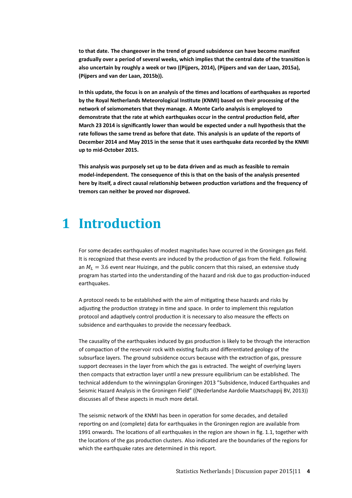**to that date. The changeover in the trend of ground subsidence can have become manifest gradually over a period of several weeks, which implies that the central date of the transition is also uncertain by roughly a week or two ((Pijpers, 2014), (Pijpers and van der Laan, 2015a), (Pijpers and van der Laan, 2015b)).**

**In this update, the focus is on an analysis of the times and locations of earthquakes as reported by the Royal Netherlands Meteorological Institute (KNMI) based on their processing of the network of seismometers that they manage. A Monte Carlo analysis is employed to demonstrate that the rate at which earthquakes occur in the central production field, after March 23 2014 is significantly lower than would be expected under a null hypothesis that the rate follows the same trend as before that date. This analysis is an update of the reports of December 2014 and May 2015 in the sense that it uses earthquake data recorded by the KNMI up to mid-October 2015.**

**This analysis was purposely set up to be data driven and as much as feasible to remain model-independent. The consequence of this is that on the basis of the analysis presented here by itself, a direct causal relationship between production variations and the frequency of tremors can neither be proved nor disproved.**

### **1 Introduction**

For some decades earthquakes of modest magnitudes have occurred in the Groningen gas field. It is recognized that these events are induced by the production of gas from the field. Following an  $M_L = 3.6$  event near Huizinge, and the public concern that this raised, an extensive study program has started into the understanding of the hazard and risk due to gas production-induced earthquakes.

A protocol needs to be established with the aim of mitigating these hazards and risks by adjusting the production strategy in time and space. In order to implement this regulation protocol and adaptively control production it is necessary to also measure the effects on subsidence and earthquakes to provide the necessary feedback.

The causality of the earthquakes induced by gas production is likely to be through the interaction of compaction of the reservoir rock with existing faults and differentiated geology of the subsurface layers. The ground subsidence occurs because with the extraction of gas, pressure support decreases in the layer from which the gas is extracted. The weight of overlying layers then compacts that extraction layer until a new pressure equilibrium can be established. The technical addendum to the winningsplan Groningen 2013 "Subsidence, Induced Earthquakes and Seismic Hazard Analysis in the Groningen Field" ((Nederlandse Aardolie Maatschappij BV, 2013)) discusses all of these aspects in much more detail.

The seismic network of the KNMI has been in operation for some decades, and detailed reporting on and (complete) data for earthquakes in the Groningen region are available from 1991 onwards. The locations of all earthquakes in the region are shown in fig. 1.1, together with the locations of the gas production clusters. Also indicated are the boundaries of the regions for which the earthquake rates are determined in this report.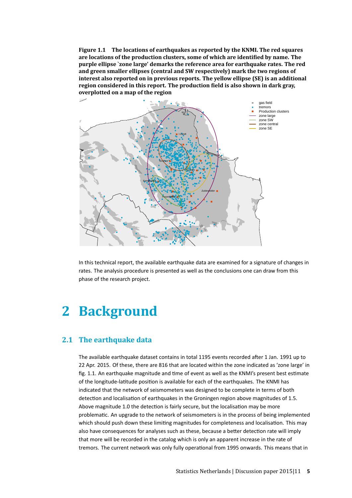**Figure 1.1 The locations of earthquakes as reported by the KNMI. The red squares are locations of the production clusters, some of which are identiied by name. The purple ellipse `zone large' demarks the reference area for earthquake rates. The red and green smaller ellipses (central and SW respectively) mark the two regions of interest also reported on in previous reports. The yellow ellipse (SE) is an additional region considered in this report. The production ield is also shown in dark gray, overplotted on a map of the region**



In this technical report, the available earthquake data are examined for a signature of changes in rates. The analysis procedure is presented as well as the conclusions one can draw from this phase of the research project.

### **2 Background**

#### **2.1 The earthquake data**

The available earthquake dataset contains in total 1195 events recorded after 1 Jan. 1991 up to 22 Apr. 2015. Of these, there are 816 that are located within the zone indicated as 'zone large' in fig. 1.1. An earthquake magnitude and time of event as well as the KNMI's present best estimate of the longitude-latitude position is available for each of the earthquakes. The KNMI has indicated that the network of seismometers was designed to be complete in terms of both detection and localisation of earthquakes in the Groningen region above magnitudes of 1.5. Above magnitude 1.0 the detection is fairly secure, but the localisation may be more problematic. An upgrade to the network of seismometers is in the process of being implemented which should push down these limiting magnitudes for completeness and localisation. This may also have consequences for analyses such as these, because a better detection rate will imply that more will be recorded in the catalog which is only an apparent increase in the rate of tremors. The current network was only fully operational from 1995 onwards. This means that in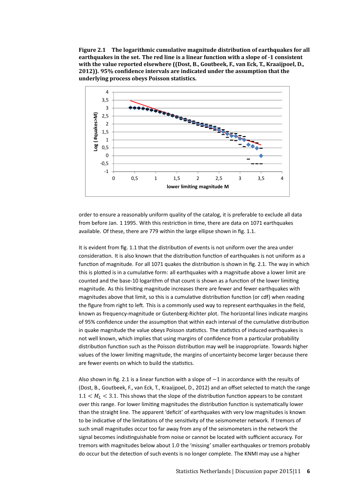**Figure 2.1 The logarithmic cumulative magnitude distribution of earthquakes for all earthquakes in the set. The red line is a linear function with a slope of -1 consistent with the value reported elsewhere ((Dost, B., Goutbeek, F., van Eck, T., Kraaijpoel, D., 2012)). 95% conidence intervals are indicated under the assumption that the underlying process obeys Poisson statistics.**



order to ensure a reasonably uniform quality of the catalog, it is preferable to exclude all data from before Jan. 1 1995. With this restriction in time, there are data on 1071 earthquakes available. Of these, there are 779 within the large ellipse shown in fig. 1.1.

It is evident from fig. 1.1 that the distribution of events is not uniform over the area under consideration. It is also known that the distribution function of earthquakes is not uniform as a function of magnitude. For all 1071 quakes the distribution is shown in fig. 2.1. The way in which this is plotted is in a cumulative form: all earthquakes with a magnitude above a lower limit are counted and the base-10 logarithm of that count is shown as a function of the lower limiting magnitude. As this limiting magnitude increases there are fewer and fewer earthquakes with magnitudes above that limit, so this is a cumulative distribution function (or cdf) when reading the figure from right to left. This is a commonly used way to represent earthquakes in the field, known as frequency-magnitude or Gutenberg-Richter plot. The horizontal lines indicate margins of 95% confidence under the assumption that within each interval of the cumulative distribution in quake magnitude the value obeys Poisson statistics. The statistics of induced earthquakes is not well known, which implies that using margins of confidence from a particular probability distribution function such as the Poisson distribution may well be inappropriate. Towards higher values of the lower limiting magnitude, the margins of uncertainty become larger because there are fewer events on which to build the statistics.

Also shown in fig. 2.1 is a linear function with a slope of −1 in accordance with the results of (Dost, B., Goutbeek, F., van Eck, T., Kraaijpoel, D., 2012) and an offset selected to match the range  $1.1 < M<sub>L</sub> < 3.1$ . This shows that the slope of the distribution function appears to be constant over this range. For lower limiting magnitudes the distribution function is systematically lower than the straight line. The apparent 'deficit' of earthquakes with very low magnitudes is known to be indicative of the limitations of the sensitivity of the seismometer network. If tremors of such small magnitudes occur too far away from any of the seismometers in the network the signal becomes indistinguishable from noise or cannot be located with sufficient accuracy. For tremors with magnitudes below about 1.0 the 'missing' smaller earthquakes or tremors probably do occur but the detection of such events is no longer complete. The KNMI may use a higher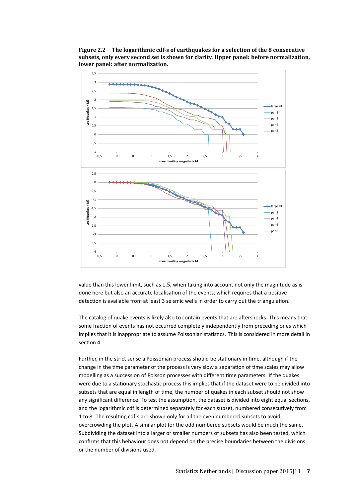**Figure 2.2 The logarithmic cdf-s of earthquakes for a selection of the 8 consecutive subsets, only every second set is shown for clarity. Upper panel: before normalization, lower panel: after normalization.**



value than this lower limit, such as 1.5, when taking into account not only the magnitude as is done here but also an accurate localisation of the events, which requires that a positive detection is available from at least 3 seismic wells in order to carry out the triangulation.

The catalog of quake events is likely also to contain events that are aftershocks. This means that some fraction of events has not occurred completely independently from preceding ones which implies that it is inappropriate to assume Poissonian statistics. This is considered in more detail in section 4.

Further, in the strict sense a Poissonian process should be stationary in time, although if the change in the time parameter of the process is very slow a separation of time scales may allow modelling as a succession of Poisson processes with different time parameters. If the quakes were due to a stationary stochastic process this implies that if the dataset were to be divided into subsets that are equal in length of time, the number of quakes in each subset should not show any significant difference. To test the assumption, the dataset is divided into eight equal sections, and the logarithmic cdf is determined separately for each subset, numbered consecutively from 1 to 8. The resulting cdf-s are shown only for all the even numbered subsets to avoid overcrowding the plot. A similar plot for the odd numbered subsets would be much the same. Subdividing the dataset into a larger or smaller numbers of subsets has also been tested, which confirms that this behaviour does not depend on the precise boundaries between the divisions or the number of divisions used.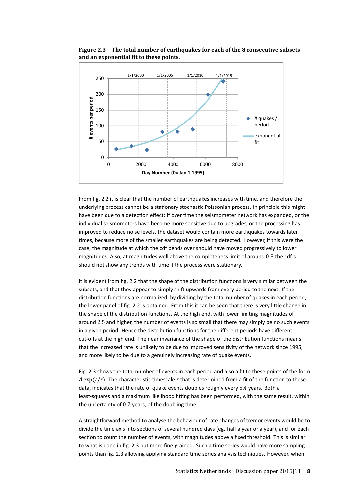

**Figure 2.3 The total number of earthquakes for each of the 8 consecutive subsets and an exponential it to these points.**

From fig. 2.2 it is clear that the number of earthquakes increases with time, and therefore the underlying process cannot be a stationary stochastic Poissonian process. In principle this might have been due to a detection effect: if over time the seismometer network has expanded, or the individual seismometers have become more sensitive due to upgrades, or the processing has improved to reduce noise levels, the dataset would contain more earthquakes towards later times, because more of the smaller earthquakes are being detected. However, if this were the case, the magnitude at which the cdf bends over should have moved progressively to lower magnitudes. Also, at magnitudes well above the completeness limit of around 0.8 the cdf-s should not show any trends with time if the process were stationary.

It is evident from fig. 2.2 that the shape of the distribution functions is very similar between the subsets, and that they appear to simply shift upwards from every period to the next. If the distribution functions are normalized, by dividing by the total number of quakes in each period, the lower panel of fig. 2.2 is obtained. From this it can be seen that there is very little change in the shape of the distribution functions. At the high end, with lower limiting magnitudes of around 2.5 and higher, the number of events is so small that there may simply be no such events in a given period. Hence the distribution functions for the different periods have different cut-offs at the high end. The near invariance of the shape of the distribution functions means that the increased rate is unlikely to be due to improved sensitivity of the network since 1995, and more likely to be due to a genuinely increasing rate of quake events.

Fig. 2.3 shows the total number of events in each period and also a fit to these points of the form A exp( $t/\tau$ ). The characteristic timescale  $\tau$  that is determined from a fit of the function to these data, indicates that the rate of quake events doubles roughly every 5.4 years. Both a least-squares and a maximum likelihood fitting has been performed, with the same result, within the uncertainty of 0.2 years, of the doubling time.

A straightforward method to analyse the behaviour of rate changes of tremor events would be to divide the time axis into sections of several hundred days (eg. half a year or a year), and for each section to count the number of events, with magnitudes above a fixed threshold. This is similar to what is done in fig. 2.3 but more fine-grained. Such a time series would have more sampling points than fig. 2.3 allowing applying standard time series analysis techniques. However, when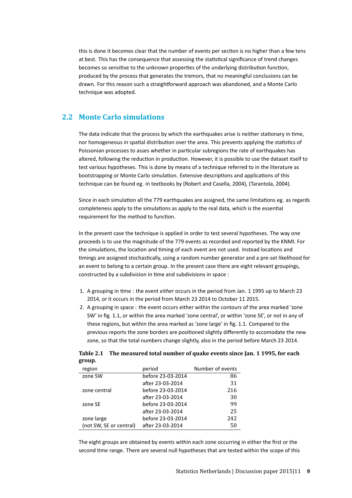this is done it becomes clear that the number of events per section is no higher than a few tens at best. This has the consequence that assessing the statistical significance of trend changes becomes so sensitive to the unknown properties of the underlying distribution function, produced by the process that generates the tremors, that no meaningful conclusions can be drawn. For this reason such a straightforward approach was abandoned, and a Monte Carlo technique was adopted.

#### **2.2 Monte Carlo simulations**

The data indicate that the process by which the earthquakes arise is neither stationary in time, nor homogeneous in spatial distribution over the area. This prevents applying the statistics of Poissonian processes to asses whether in particular subregions the rate of earthquakes has altered, following the reduction in production. However, it is possible to use the dataset itself to test various hypotheses. This is done by means of a technique referred to in the literature as bootstrapping or Monte Carlo simulation. Extensive descriptions and applications of this technique can be found eg. in textbooks by (Robert and Casella, 2004), (Tarantola, 2004).

Since in each simulation all the 779 earthquakes are assigned, the same limitations eg. as regards completeness apply to the simulations as apply to the real data, which is the essential requirement for the method to function.

In the present case the technique is applied in order to test several hypotheses. The way one proceeds is to use the magnitude of the 779 events as recorded and reported by the KNMI. For the simulations, the location and timing of each event are not used. Instead locations and timings are assigned stochastically, using a random number generator and a pre-set likelihood for an event to belong to a certain group. In the present case there are eight relevant groupings, constructed by a subdivision in time and subdivisions in space :

- 1. A grouping in time : the event *either* occurs in the period from Jan. 1 1995 up to March 23 2014, *or* it occurs in the period from March 23 2014 to October 11 2015.
- 2. A grouping in space : the event occurs either within the contours of the area marked 'zone SW' in fig. 1.1, or within the area marked 'zone central', or within 'zone SE', or not in any of these regions, but within the area marked as 'zone large' in fig. 1.1. Compared to the previous reports the zone borders are positioned slightly differently to accomodate the new zone, so that the total numbers change slightly, also in the period before March 23 2014.

|        | Table 2.1 The measured total number of quake events since Jan. 1 1995, for each |
|--------|---------------------------------------------------------------------------------|
| group. |                                                                                 |

| region                  | period            | Number of events |
|-------------------------|-------------------|------------------|
| zone SW                 | before 23-03-2014 | 86               |
|                         | after 23-03-2014  | 31               |
| zone central            | before 23-03-2014 | 216              |
|                         | after 23-03-2014  | 30               |
| zone SE                 | before 23-03-2014 | 99               |
|                         | after 23-03-2014  | 25               |
| zone large              | before 23-03-2014 | 242              |
| (not SW, SE or central) | after 23-03-2014  | 50               |

The eight groups are obtained by events within each zone occurring in either the first or the second time range. There are several null hypotheses that are tested within the scope of this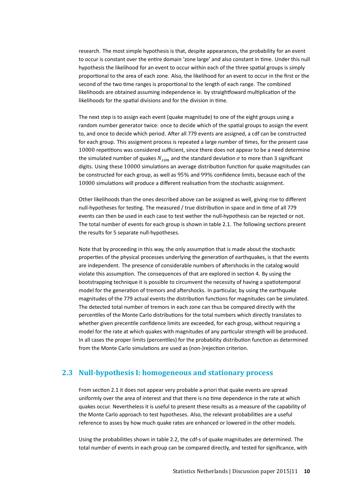research. The most simple hypothesis is that, despite appearances, the probability for an event to occur is constant over the entire domain 'zone large' and also constant in time. Under this null hypothesis the likelihood for an event to occur within each of the three spatial groups is simply proportional to the area of each zone. Also, the likelihood for an event to occur in the first or the second of the two time ranges is proportional to the length of each range. The combined likelihoods are obtained assuming independence ie. by straightfoward multiplication of the likelihoods for the spatial divisions and for the division in time.

The next step is to assign each event (quake magnitude) to one of the eight groups using a random number generator twice: once to decide which of the spatial groups to assign the event to, and once to decide which period. After all 779 events are assigned, a cdf can be constructed for each group. This assigment process is repeated a large number of times, for the present case 10000 repetitions was considered sufficient, since there does not appear to be a need determine the simulated number of quakes  $N_{sim}$  and the standard deviation  $\sigma$  to more than 3 significant digits. Using these 10000 simulations an average distribution function for quake magnitudes can be constructed for each group, as well as 95% and 99% confidence limits, because each of the 10000 simulations will produce a different realisation from the stochastic assignment.

Other likelihoods than the ones described above can be assigned as well, giving rise to different null-hypotheses for testing. The measured / true distribution in space and in time of all 779 events can then be used in each case to test wether the null-hypothesis can be rejected or not. The total number of events for each group is shown in table 2.1. The following sections present the results for 5 separate null-hypotheses.

Note that by proceeding in this way, the only assumption that is made about the stochastic properties of the physical processes underlying the generation of earthquakes, is that the events are independent. The presence of considerable numbers of aftershocks in the catalog would violate this assumption. The consequences of that are explored in section 4. By using the bootstrapping technique it is possible to circumvent the necessity of having a spatiotemporal model for the generation of tremors and aftershocks. In particular, by using the earthquake magnitudes of the 779 actual events the distribution functions for magnitudes can be simulated. The detected total number of tremors in each zone can thus be compared directly with the percentiles of the Monte Carlo distributions for the total numbers which directly translates to whether given precentile confidence limits are exceeded, for each group, without requiring a model for the rate at which quakes with magnitudes of any particular strength will be produced. In all cases the proper limits (percentiles) for the probability distribution function as determined from the Monte Carlo simulations are used as (non-)rejection criterion.

#### **2.3 Null-hypothesis I: homogeneous and stationary process**

From section 2.1 it does not appear very probable a-priori that quake events are spread uniformly over the area of interest and that there is no time dependence in the rate at which quakes occur. Nevertheless it is useful to present these results as a measure of the capability of the Monte Carlo approach to test hypotheses. Also, the relevant probabilities are a useful reference to asses by how much quake rates are enhanced or lowered in the other models.

Using the probabilities shown in table 2.2, the cdf-s of quake magnitudes are determined. The total number of events in each group can be compared directly, and tested for significance, with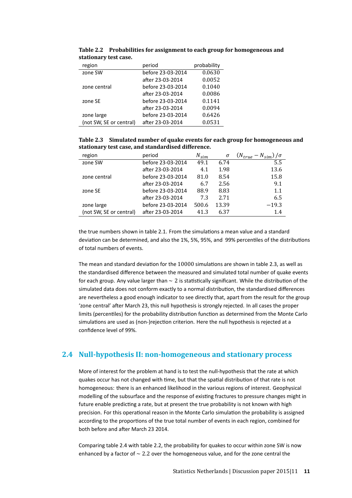| region                  | period            | probability |
|-------------------------|-------------------|-------------|
| zone SW                 | before 23-03-2014 | 0.0630      |
|                         | after 23-03-2014  | 0.0052      |
| zone central            | before 23-03-2014 | 0.1040      |
|                         | after 23-03-2014  | 0.0086      |
| zone SE                 | before 23-03-2014 | 0.1141      |
|                         | after 23-03-2014  | 0.0094      |
| zone large              | before 23-03-2014 | 0.6426      |
| (not SW, SE or central) | after 23-03-2014  | 0.0531      |

**Table 2.2 Probabilities for assignment to each group for homogeneous and stationary test case.**

| Table 2.3 Simulated number of quake events for each group for homogeneous and |
|-------------------------------------------------------------------------------|
| stationary test case, and standardised difference.                            |

| region                  | period            | $N_{sim}$ | σ     | $(N_{true}-N_{sim})/\sigma$ |
|-------------------------|-------------------|-----------|-------|-----------------------------|
| zone SW                 | before 23-03-2014 | 49.1      | 6.74  | 5.5                         |
|                         | after 23-03-2014  | 4.1       | 1.98  | 13.6                        |
| zone central            | before 23-03-2014 | 81.0      | 8.54  | 15.8                        |
|                         | after 23-03-2014  | 6.7       | 2.56  | 9.1                         |
| zone SE                 | before 23-03-2014 | 88.9      | 8.83  | 1.1                         |
|                         | after 23-03-2014  | 7.3       | 2.71  | 6.5                         |
| zone large              | before 23-03-2014 | 500.6     | 13.39 | $-19.3$                     |
| (not SW, SE or central) | after 23-03-2014  | 41.3      | 6.37  | 1.4                         |

the true numbers shown in table 2.1. From the simulations a mean value and a standard deviation can be determined, and also the 1%, 5%, 95%, and 99% percentiles of the distributions of total numbers of events.

The mean and standard deviation for the 10000 simulations are shown in table 2.3, as well as the standardised difference between the measured and simulated total number of quake events for each group. Any value larger than ∼ 2 is statistically significant. While the distribution of the simulated data does not conform exactly to a normal distribution, the standardised differences are nevertheless a good enough indicator to see directly that, apart from the result for the group 'zone central' after March 23, this null hypothesis is strongly rejected. In all cases the proper limits (percentiles) for the probability distribution function as determined from the Monte Carlo simulations are used as (non-)rejection criterion. Here the null hypothesis is rejected at a confidence level of 99%.

#### **2.4 Null-hypothesis II: non-homogeneous and stationary process**

More of interest for the problem at hand is to test the null-hypothesis that the rate at which quakes occur has not changed with time, but that the spatial distribution of that rate is not homogeneous: there is an enhanced likelihood in the various regions of interest. Geophysical modelling of the subsurface and the response of existing fractures to pressure changes might in future enable predicting a rate, but at present the true probability is not known with high precision. For this operational reason in the Monte Carlo simulation the probability is assigned according to the proportions of the true total number of events in each region, combined for both before and after March 23 2014.

Comparing table 2.4 with table 2.2, the probability for quakes to occur within zone SW is now enhanced by a factor of ∼ 2.2 over the homogeneous value, and for the zone central the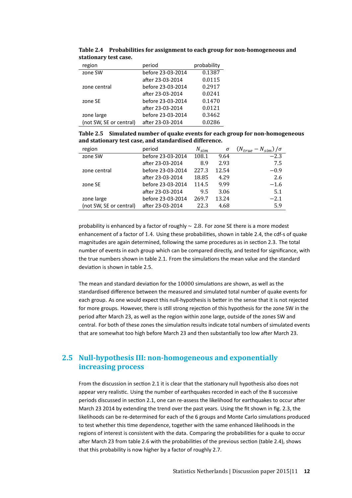| region                  | period            | probability |
|-------------------------|-------------------|-------------|
| zone SW                 | before 23-03-2014 | 0.1387      |
|                         | after 23-03-2014  | 0.0115      |
| zone central            | before 23-03-2014 | 0.2917      |
|                         | after 23-03-2014  | 0.0241      |
| zone SE                 | before 23-03-2014 | 0.1470      |
|                         | after 23-03-2014  | 0.0121      |
| zone large              | before 23-03-2014 | 0.3462      |
| (not SW, SE or central) | after 23-03-2014  | 0.0286      |

**Table 2.4 Probabilities for assignment to each group for non-homogeneous and stationary test case.**

| Table 2.5 Simulated number of quake events for each group for non-homogeneous |
|-------------------------------------------------------------------------------|
| and stationary test case, and standardised difference.                        |

| region                  | period            | $N_{sim}$ | $\sigma$ | $(N_{true} - N_{sim})/\sigma$ |
|-------------------------|-------------------|-----------|----------|-------------------------------|
| zone SW                 | before 23-03-2014 | 108.1     | 9.64     | $-2.3$                        |
|                         | after 23-03-2014  | 8.9       | 2.93     | 7.5                           |
| zone central            | before 23-03-2014 | 227.3     | 12.54    | $-0.9$                        |
|                         | after 23-03-2014  | 18.85     | 4.29     | 2.6                           |
| zone SE                 | before 23-03-2014 | 114.5     | 9.99     | $-1.6$                        |
|                         | after 23-03-2014  | 9.5       | 3.06     | 5.1                           |
| zone large              | before 23-03-2014 | 269.7     | 13.24    | $-2.1$                        |
| (not SW, SE or central) | after 23-03-2014  | 22.3      | 4.68     | 5.9                           |

probability is enhanced by a factor of roughly ∼ 2.8. For zone SE there is a more modest enhancement of a factor of 1.4. Using these probabilities, shown in table 2.4, the cdf-s of quake magnitudes are again determined, following the same procedures as in section 2.3. The total number of events in each group which can be compared directly, and tested for significance, with the true numbers shown in table 2.1. From the simulations the mean value and the standard deviation is shown in table 2.5.

The mean and standard deviation for the 10000 simulations are shown, as well as the standardised difference between the measured and simulated total number of quake events for each group. As one would expect this null-hypothesis is better in the sense that it is not rejected for more groups. However, there is still strong rejection of this hypothesis for the zone SW in the period after March 23, as well as the region within zone large, outside of the zones SW and central. For both of these zones the simulation results indicate total numbers of simulated events that are somewhat too high before March 23 and then substantially too low after March 23.

### **2.5 Null-hypothesis III: non-homogeneous and exponentially increasing process**

From the discussion in section 2.1 it is clear that the stationary null hypothesis also does not appear very realistic. Using the number of earthquakes recorded in each of the 8 successive periods discussed in section 2.1, one can re-assess the likelihood for earthquakes to occur after March 23 2014 by extending the trend over the past years. Using the fit shown in fig. 2.3, the likelihoods can be re-determined for each of the 6 groups and Monte Carlo simulations produced to test whether this time dependence, together with the same enhanced likelihoods in the regions of interest is consistent with the data. Comparing the probabilities for a quake to occur after March 23 from table 2.6 with the probabilities of the previous section (table 2.4), shows that this probability is now higher by a factor of roughly 2.7.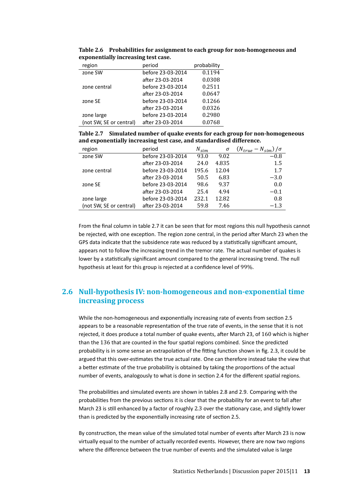| region                  | period            | probability |
|-------------------------|-------------------|-------------|
| zone SW                 | before 23-03-2014 | 0.1194      |
|                         | after 23-03-2014  | 0.0308      |
| zone central            | before 23-03-2014 | 0.2511      |
|                         | after 23-03-2014  | 0.0647      |
| zone SE                 | before 23-03-2014 | 0.1266      |
|                         | after 23-03-2014  | 0.0326      |
| zone large              | before 23-03-2014 | 0.2980      |
| (not SW, SE or central) | after 23-03-2014  | 0.0768      |

**Table 2.6 Probabilities for assignment to each group for non-homogeneous and exponentially increasing test case.**

**Table 2.7 Simulated number of quake events for each group for non-homogeneous and exponentially increasing test case, and standardised difference.**

| region                  | period            | $N_{sim}$ | σ     | $(N_{true} - N_{sim})/\sigma$ |
|-------------------------|-------------------|-----------|-------|-------------------------------|
| zone SW                 | before 23-03-2014 | 93.0      | 9.02  | $-0.8$                        |
|                         | after 23-03-2014  | 24.0      | 4.835 | 1.5                           |
| zone central            | before 23-03-2014 | 195.6     | 12.04 | 1.7                           |
|                         | after 23-03-2014  | 50.5      | 6.83  | $-3.0$                        |
| zone SE                 | before 23-03-2014 | 98.6      | 9.37  | 0.0                           |
|                         | after 23-03-2014  | 25.4      | 4.94  | $-0.1$                        |
| zone large              | before 23-03-2014 | 232.1     | 12.82 | 0.8                           |
| (not SW, SE or central) | after 23-03-2014  | 59.8      | 7.46  | $-1.3$                        |

From the final column in table 2.7 it can be seen that for most regions this null hypothesis cannot be rejected, with one exception. The region zone central, in the period after March 23 when the GPS data indicate that the subsidence rate was reduced by a statistically significant amount, appears not to follow the increasing trend in the tremor rate. The actual number of quakes is lower by a statistically significant amount compared to the general increasing trend. The null hypothesis at least for this group is rejected at a confidence level of 99%.

### **2.6 Null-hypothesis IV: non-homogeneous and non-exponential time increasing process**

While the non-homogeneous and exponentially increasing rate of events from section 2.5 appears to be a reasonable representation of the true rate of events, in the sense that it is not rejected, it does produce a total number of quake events, after March 23, of 160 which is higher than the 136 that are counted in the four spatial regions combined. Since the predicted probability is in some sense an extrapolation of the fitting function shown in fig. 2.3, it could be argued that this over-estimates the true actual rate. One can therefore instead take the view that a better estimate of the true probability is obtained by taking the proportions of the actual number of events, analogously to what is done in section 2.4 for the different spatial regions.

The probabilities and simulated events are shown in tables 2.8 and 2.9. Comparing with the probabilities from the previous sections it is clear that the probability for an event to fall after March 23 is still enhanced by a factor of roughly 2.3 over the stationary case, and slightly lower than is predicted by the exponentially increasing rate of section 2.5.

By construction, the mean value of the simulated total number of events after March 23 is now virtually equal to the number of actually recorded events. However, there are now two regions where the difference between the true number of events and the simulated value is large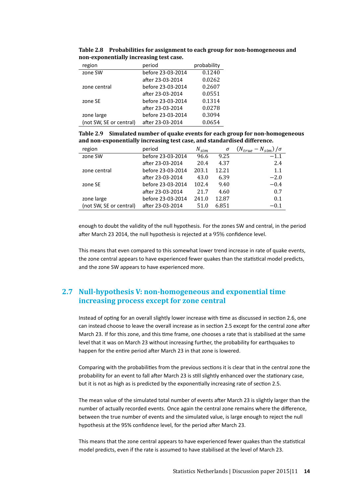| region                  | period            | probability |
|-------------------------|-------------------|-------------|
| zone SW                 | before 23-03-2014 | 0.1240      |
|                         | after 23-03-2014  | 0.0262      |
| zone central            | before 23-03-2014 | 0.2607      |
|                         | after 23-03-2014  | 0.0551      |
| zone SE                 | before 23-03-2014 | 0.1314      |
|                         | after 23-03-2014  | 0.0278      |
| zone large              | before 23-03-2014 | 0.3094      |
| (not SW, SE or central) | after 23-03-2014  | 0.0654      |

**Table 2.8 Probabilities for assignment to each group for non-homogeneous and non-exponentially increasing test case.**

**Table 2.9 Simulated number of quake events for each group for non-homogeneous and non-exponentially increasing test case, and standardised difference.**

| region                  | period            | $N_{sim}$ | σ     | $(N_{true} - N_{sim})/\sigma$ |
|-------------------------|-------------------|-----------|-------|-------------------------------|
| zone SW                 | before 23-03-2014 | 96.6      | 9.25  | $-1.1$                        |
|                         | after 23-03-2014  | 20.4      | 4.37  | 2.4                           |
| zone central            | before 23-03-2014 | 203.1     | 12.21 | 1.1                           |
|                         | after 23-03-2014  | 43.0      | 6.39  | $-2.0$                        |
| zone SE                 | before 23-03-2014 | 102.4     | 9.40  | $-0.4$                        |
|                         | after 23-03-2014  | 21.7      | 4.60  | 0.7                           |
| zone large              | before 23-03-2014 | 241.0     | 12.87 | 0.1                           |
| (not SW, SE or central) | after 23-03-2014  | 51.0      | 6.851 | $-0.1$                        |

enough to doubt the validity of the null hypothesis. For the zones SW and central, in the period after March 23 2014, the null hypothesis is rejected at a 95% confidence level.

This means that even compared to this somewhat lower trend increase in rate of quake events, the zone central appears to have experienced fewer quakes than the statistical model predicts, and the zone SW appears to have experienced more.

#### **2.7 Null-hypothesis V: non-homogeneous and exponential time increasing process except for zone central**

Instead of opting for an overall slightly lower increase with time as discussed in section 2.6, one can instead choose to leave the overall increase as in section 2.5 except for the central zone after March 23. If for this zone, and this time frame, one chooses a rate that is stabilised at the same level that it was on March 23 without increasing further, the probability for earthquakes to happen for the entire period after March 23 in that zone is lowered.

Comparing with the probabilities from the previous sections it is clear that in the central zone the probability for an event to fall after March 23 is still slightly enhanced over the stationary case, but it is not as high as is predicted by the exponentially increasing rate of section 2.5.

The mean value of the simulated total number of events after March 23 is slightly larger than the number of actually recorded events. Once again the central zone remains where the difference, between the true number of events and the simulated value, is large enough to reject the null hypothesis at the 95% confidence level, for the period after March 23.

This means that the zone central appears to have experienced fewer quakes than the statistical model predicts, even if the rate is assumed to have stabilised at the level of March 23.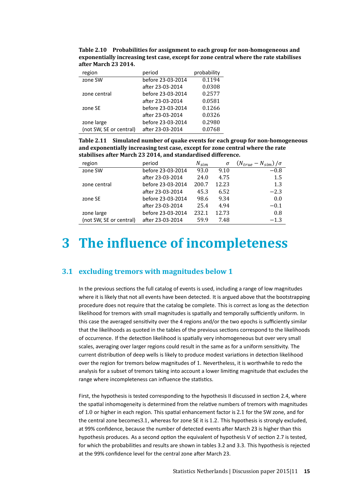|                      | Table 2.10 Probabilities for assignment to each group for non-homogeneous and         |
|----------------------|---------------------------------------------------------------------------------------|
|                      | exponentially increasing test case, except for zone central where the rate stabilises |
| after March 23 2014. |                                                                                       |

| region                  | period            | probability |
|-------------------------|-------------------|-------------|
| zone SW                 | before 23-03-2014 | 0.1194      |
|                         | after 23-03-2014  | 0.0308      |
| zone central            | before 23-03-2014 | 0.2577      |
|                         | after 23-03-2014  | 0.0581      |
| zone SE                 | before 23-03-2014 | 0.1266      |
|                         | after 23-03-2014  | 0.0326      |
| zone large              | before 23-03-2014 | 0.2980      |
| (not SW, SE or central) | after 23-03-2014  | 0.0768      |

**Table 2.11 Simulated number of quake events for each group for non-homogeneous and exponentially increasing test case, except for zone central where the rate stabilises after March 23 2014, and standardised difference.**

| region                  | period            | $N_{sim}$ | σ     | $(N_{true} - N_{sim})/\sigma$ |
|-------------------------|-------------------|-----------|-------|-------------------------------|
| zone SW                 | before 23-03-2014 | 93.0      | 9.10  | $-0.8$                        |
|                         | after 23-03-2014  | 24.0      | 4.75  | 1.5                           |
| zone central            | before 23-03-2014 | 200.7     | 12.23 | 1.3                           |
|                         | after 23-03-2014  | 45.3      | 6.52  | $-2.3$                        |
| zone SE                 | before 23-03-2014 | 98.6      | 9.34  | 0.0                           |
|                         | after 23-03-2014  | 25.4      | 4.94  | $-0.1$                        |
| zone large              | before 23-03-2014 | 232.1     | 12.73 | 0.8                           |
| (not SW, SE or central) | after 23-03-2014  | 59.9      | 7.48  | $-1.3$                        |

## **3 The inluence of incompleteness**

#### **3.1 excluding tremors with magnitudes below 1**

In the previous sections the full catalog of events is used, including a range of low magnitudes where it is likely that not all events have been detected. It is argued above that the bootstrapping procedure does not require that the catalog be complete. This is correct as long as the detection likelihood for tremors with small magnitudes is spatially and temporally sufficiently uniform. In this case the averaged sensitivity over the 4 regions and/or the two epochs is sufficiently similar that the likelihoods as quoted in the tables of the previous sections correspond to the likelihoods of occurrence. If the detection likelihood is spatially very inhomogeneous but over very small scales, averaging over larger regions could result in the same as for a uniform sensitivity. The current distribution of deep wells is likely to produce modest variations in detection likelihood over the region for tremors below magnitudes of 1. Nevertheless, it is worthwhile to redo the analysis for a subset of tremors taking into account a lower limiting magnitude that excludes the range where incompleteness can influence the statistics.

First, the hypothesis is tested corresponding to the hypothesis II discussed in section 2.4, where the spatial inhomogeneity is determined from the relative numbers of tremors with magnitudes of 1.0 or higher in each region. This spatial enhancement factor is 2.1 for the SW zone, and for the central zone becomes3.1, whereas for zone SE it is 1.2. This hypothesis is strongly excluded, at 99% confidence, because the number of detected events after March 23 is higher than this hypothesis produces. As a second option the equivalent of hypothesis V of section 2.7 is tested, for which the probabilities and results are shown in tables 3.2 and 3.3. This hypothesis is rejected at the 99% confidence level for the central zone after March 23.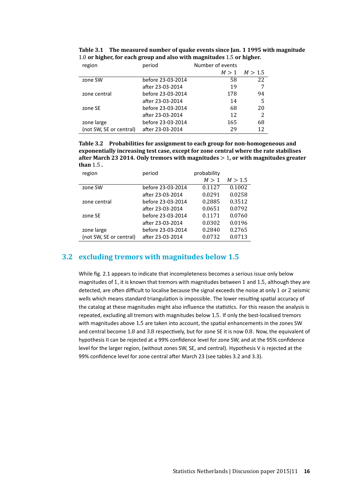| region                  | period            | Number of events |         |
|-------------------------|-------------------|------------------|---------|
|                         |                   | M > 1            | M > 1.5 |
| zone SW                 | before 23-03-2014 | 58               | 22      |
|                         | after 23-03-2014  | 19               | 7       |
| zone central            | before 23-03-2014 | 178              | 94      |
|                         | after 23-03-2014  | 14               | 5       |
| zone SE                 | before 23-03-2014 | 68               | 20      |
|                         | after 23-03-2014  | 12               | 2       |
| zone large              | before 23-03-2014 | 165              | 68      |
| (not SW, SE or central) | after 23-03-2014  | 29               | 12      |

**Table 3.1 The measured number of quake events since Jan. 1 1995 with magnitude** 1.0 **or higher, for each group and also with magnitudes** 1.5 **or higher.**

**Table 3.2 Probabilities for assignment to each group for non-homogeneous and exponentially increasing test case, except for zone central where the rate stabilises after March 23 2014. Only tremors with magnitudes** > 1**, or with magnitudes greater than** 1.5 **.**

| period            | probability |         |
|-------------------|-------------|---------|
|                   | M > 1       | M > 1.5 |
| before 23-03-2014 | 0.1127      | 0.1002  |
| after 23-03-2014  | 0.0291      | 0.0258  |
| before 23-03-2014 | 0.2885      | 0.3512  |
| after 23-03-2014  | 0.0651      | 0.0792  |
| before 23-03-2014 | 0.1171      | 0.0760  |
| after 23-03-2014  | 0.0302      | 0.0196  |
| before 23-03-2014 | 0.2840      | 0.2765  |
| after 23-03-2014  | 0.0732      | 0.0713  |
|                   |             |         |

#### **3.2 excluding tremors with magnitudes below 1.5**

While fig. 2.1 appears to indicate that incompleteness becomes a serious issue only below magnitudes of 1, it is known that tremors with magnitudes between 1 and 1.5, although they are detected, are often difficult to localise because the signal exceeds the noise at only 1 or 2 seismic wells which means standard triangulation is impossible. The lower resulting spatial accuracy of the catalog at these magnitudes might also influence the statistics. For this reason the analysis is repeated, excluding all tremors with magnitudes below 1.5. If only the best-localised tremors with magnitudes above 1.5 are taken into account, the spatial enhancements in the zones SW and central become 1.8 and 3.8 respectively, but for zone SE it is now 0.8. Now, the equivalent of hypothesis II can be rejected at a 99% confidence level for zone SW, and at the 95% confidence level for the larger region, (without zones SW, SE, and central). Hypothesis V is rejected at the 99% confidence level for zone central after March 23 (see tables 3.2 and 3.3).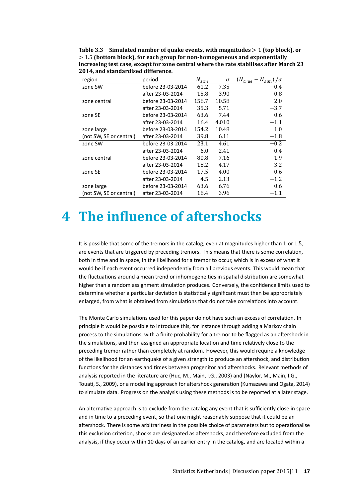**Table 3.3 Simulated number of quake events, with magnitudes** > 1 **(top block), or** > 1.5 **(bottom block), for each group for non-homogeneous and exponentially increasing test case, except for zone central where the rate stabilises after March 23 2014, and standardised difference.**

| region                  | period            | $N_{\mathit{sim}}$ | σ     | $(N_{true}-N_{sim})/\sigma$ |
|-------------------------|-------------------|--------------------|-------|-----------------------------|
| zone SW                 | before 23-03-2014 | 61.2               | 7.35  | $-0.4$                      |
|                         | after 23-03-2014  | 15.8               | 3.90  | 0.8                         |
| zone central            | before 23-03-2014 | 156.7              | 10.58 | 2.0                         |
|                         | after 23-03-2014  | 35.3               | 5.71  | $-3.7$                      |
| zone SE                 | before 23-03-2014 | 63.6               | 7.44  | 0.6                         |
|                         | after 23-03-2014  | 16.4               | 4.010 | $-1.1$                      |
| zone large              | before 23-03-2014 | 154.2              | 10.48 | 1.0                         |
| (not SW, SE or central) | after 23-03-2014  | 39.8               | 6.11  | $-1.8$                      |
| zone SW                 | before 23-03-2014 | 23.1               | 4.61  | $-0.2$                      |
|                         | after 23-03-2014  | 6.0                | 2.41  | 0.4                         |
| zone central            | before 23-03-2014 | 80.8               | 7.16  | 1.9                         |
|                         | after 23-03-2014  | 18.2               | 4.17  | $-3.2$                      |
| zone SE                 | before 23-03-2014 | 17.5               | 4.00  | 0.6                         |
|                         | after 23-03-2014  | 4.5                | 2.13  | $-1.2$                      |
| zone large              | before 23-03-2014 | 63.6               | 6.76  | 0.6                         |
| (not SW, SE or central) | after 23-03-2014  | 16.4               | 3.96  | $-1.1$                      |

### **4 The inluence of aftershocks**

It is possible that some of the tremors in the catalog, even at magnitudes higher than 1 or 1.5, are events that are triggered by preceding tremors. This means that there is some correlation, both in time and in space, in the likelihood for a tremor to occur, which is in excess of what it would be if each event occurred independently from all previous events. This would mean that the fluctuations around a mean trend or inhomogeneities in spatial distribution are somewhat higher than a random assignment simulation produces. Conversely, the confidence limits used to determine whether a particular deviation is statistically significant must then be appropriately enlarged, from what is obtained from simulations that do not take correlations into account.

The Monte Carlo simulations used for this paper do not have such an excess of correlation. In principle it would be possible to introduce this, for instance through adding a Markov chain process to the simulations, with a finite probability for a tremor to be flagged as an aftershock in the simulations, and then assigned an appropriate location and time relatively close to the preceding tremor rather than completely at random. However, this would require a knowledge of the likelihood for an earthquake of a given strength to produce an aftershock, and distribution functions for the distances and times between progenitor and aftershocks. Relevant methods of analysis reported in the literature are (Huc, M., Main, I.G., 2003) and (Naylor, M., Main, I.G., Touati, S., 2009), or a modelling approach for aftershock generation (Kumazawa and Ogata, 2014) to simulate data. Progress on the analysis using these methods is to be reported at a later stage.

An alternative approach is to exclude from the catalog any event that is sufficiently close in space and in time to a preceding event, so that one might reasonably suppose that it could be an aftershock. There is some arbitrariness in the possible choice of parameters but to operationalise this exclusion criterion, shocks are designated as aftershocks, and therefore excluded from the analysis, if they occur within 10 days of an earlier entry in the catalog, and are located within a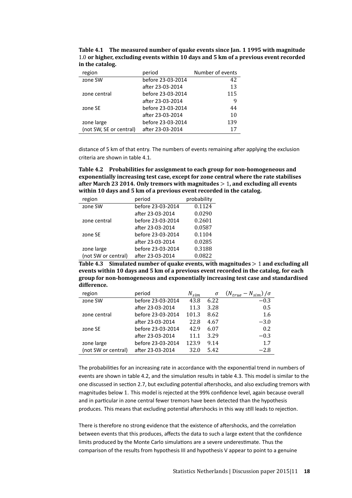| region                  | period            | Number of events |
|-------------------------|-------------------|------------------|
| zone SW                 | before 23-03-2014 | 42               |
|                         | after 23-03-2014  | 13               |
| zone central            | before 23-03-2014 | 115              |
|                         | after 23-03-2014  | 9                |
| zone SE                 | before 23-03-2014 | 44               |
|                         | after 23-03-2014  | 10               |
| zone large              | before 23-03-2014 | 139              |
| (not SW, SE or central) | after 23-03-2014  |                  |

**Table 4.1 The measured number of quake events since Jan. 1 1995 with magnitude** 1.0 **or higher, excluding events within 10 days and 5 km of a previous event recorded in the catalog.**

distance of 5 km of that entry. The numbers of events remaining after applying the exclusion criteria are shown in table 4.1.

**Table 4.2 Probabilities for assignment to each group for non-homogeneous and exponentially increasing test case, except for zone central where the rate stabilises after March 23 2014. Only tremors with magnitudes** > 1**, and excluding all events within 10 days and 5 km of a previous event recorded in the catalog.**

| region              | period            | probability |
|---------------------|-------------------|-------------|
| zone SW             | before 23-03-2014 | 0.1124      |
|                     | after 23-03-2014  | 0.0290      |
| zone central        | before 23-03-2014 | 0.2601      |
|                     | after 23-03-2014  | 0.0587      |
| zone SE             | before 23-03-2014 | 0.1104      |
|                     | after 23-03-2014  | 0.0285      |
| zone large          | before 23-03-2014 | 0.3188      |
| (not SW or central) | after 23-03-2014  | 0.0822      |

**Table 4.3 Simulated number of quake events, with magnitudes** > 1 **and excluding all events within 10 days and 5 km of a previous event recorded in the catalog, for each group for non-homogeneous and exponentially increasing test case and standardised difference.**

| region              | period            | $N_{sim}$ | σ    | $(N_{true} - N_{sim})/\sigma$ |
|---------------------|-------------------|-----------|------|-------------------------------|
| zone SW             | before 23-03-2014 | 43.8      | 6.22 | $-0.3$                        |
|                     | after 23-03-2014  | 11.3      | 3.28 | 0.5                           |
| zone central        | before 23-03-2014 | 101.3     | 8.62 | 1.6                           |
|                     | after 23-03-2014  | 22.8      | 4.67 | $-3.0$                        |
| zone SE             | before 23-03-2014 | 42.9      | 6.07 | 0.2                           |
|                     | after 23-03-2014  | 11.1      | 3.29 | $-0.3$                        |
| zone large          | before 23-03-2014 | 123.9     | 9.14 | 1.7                           |
| (not SW or central) | after 23-03-2014  | 32.0      | 5.42 | $-2.8$                        |

The probabilities for an increasing rate in accordance with the exponential trend in numbers of events are shown in table 4.2, and the simulation results in table 4.3. This model is similar to the one discussed in section 2.7, but excluding potential aftershocks, and also excluding tremors with magnitudes below 1. This model is rejected at the 99% confidence level, again because overall and in particular in zone central fewer tremors have been detected than the hypothesis produces. This means that excluding potential aftershocks in this way still leads to rejection.

There is therefore no strong evidence that the existence of aftershocks, and the correlation between events that this produces, affects the data to such a large extent that the confidence limits produced by the Monte Carlo simulations are a severe underestimate. Thus the comparison of the results from hypothesis III and hypothesis V appear to point to a genuine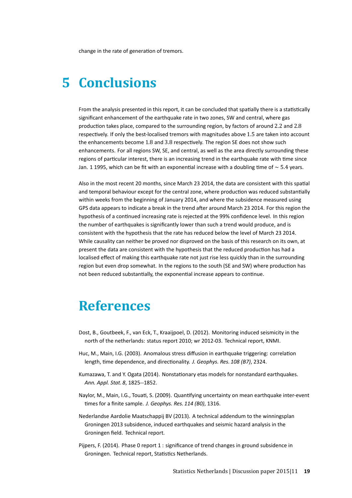change in the rate of generation of tremors.

### **5 Conclusions**

From the analysis presented in this report, it can be concluded that spatially there is a statistically significant enhancement of the earthquake rate in two zones, SW and central, where gas production takes place, compared to the surrounding region, by factors of around 2.2 and 2.8 respectively. If only the best-localised tremors with magnitudes above 1.5 are taken into account the enhancements become 1.8 and 3.8 respectively. The region SE does not show such enhancements. For all regions SW, SE, and central, as well as the area directly surrounding these regions of particular interest, there is an increasing trend in the earthquake rate with time since Jan. 1 1995, which can be fit with an exponential increase with a doubling time of  $\sim 5.4$  years.

Also in the most recent 20 months, since March 23 2014, the data are consistent with this spatial and temporal behaviour except for the central zone, where production was reduced substantially within weeks from the beginning of January 2014, and where the subsidence measured using GPS data appears to indicate a break in the trend after around March 23 2014. For this region the hypothesis of a continued increasing rate is rejected at the 99% confidence level. In this region the number of earthquakes is significantly lower than such a trend would produce, and is consistent with the hypothesis that the rate has reduced below the level of March 23 2014. While causality can neither be proved nor disproved on the basis of this research on its own, at present the data are consistent with the hypothesis that the reduced production has had a localised effect of making this earthquake rate not just rise less quickly than in the surrounding region but even drop somewhat. In the regions to the south (SE and SW) where production has not been reduced substantially, the exponential increase appears to continue.

### **References**

- Dost, B., Goutbeek, F., van Eck, T., Kraaijpoel, D. (2012). Monitoring induced seismicity in the north of the netherlands: status report 2010; wr 2012-03. Technical report, KNMI.
- Huc, M., Main, I.G. (2003). Anomalous stress diffusion in earthquake triggering: correlation length, time dependence, and directionality. *J. Geophys. Res. 108 (B7)*, 2324.
- Kumazawa, T. and Y. Ogata (2014). Nonstationary etas models for nonstandard earthquakes. *Ann. Appl. Stat. 8*, 1825--1852.
- Naylor, M., Main, I.G., Touati, S. (2009). Quantifying uncertainty on mean earthquake inter-event times for a finite sample. *J. Geophys. Res. 114 (B0)*, 1316.
- Nederlandse Aardolie Maatschappij BV (2013). A technical addendum to the winningsplan Groningen 2013 subsidence, induced earthquakes and seismic hazard analysis in the Groningen field. Technical report.
- Pijpers, F. (2014). Phase 0 report 1 : significance of trend changes in ground subsidence in Groningen. Technical report, Statistics Netherlands.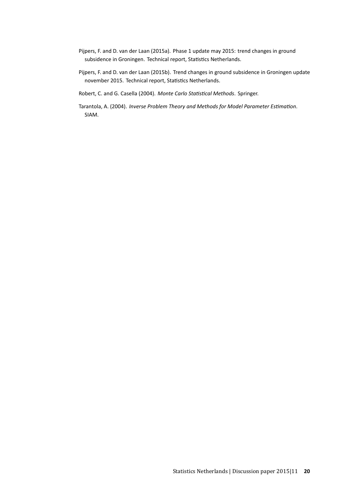- Pijpers, F. and D. van der Laan (2015a). Phase 1 update may 2015: trend changes in ground subsidence in Groningen. Technical report, Statistics Netherlands.
- Pijpers, F. and D. van der Laan (2015b). Trend changes in ground subsidence in Groningen update november 2015. Technical report, Statistics Netherlands.
- Robert, C. and G. Casella (2004). *Monte Carlo Statistical Methods*. Springer.
- Tarantola, A. (2004). *Inverse Problem Theory and Methods for Model Parameter Estimation*. SIAM.